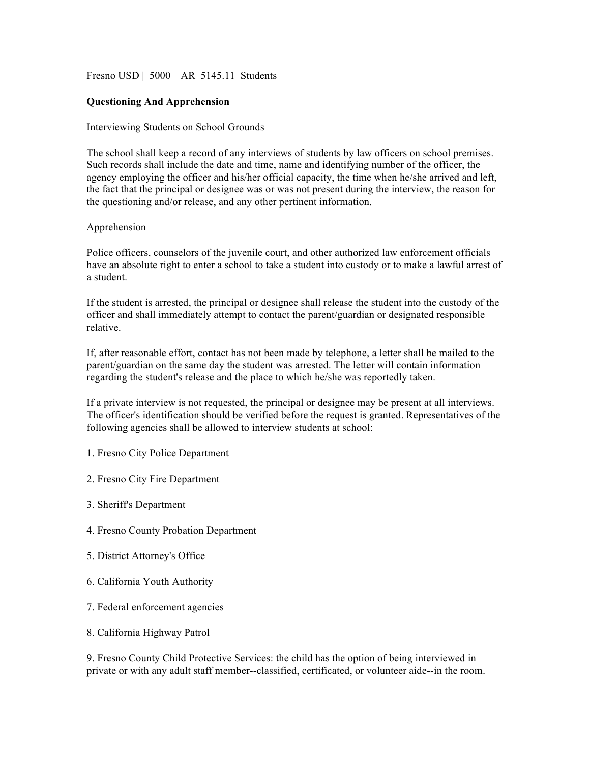# Fresno USD | 5000 | AR 5145.11 Students

### **Questioning And Apprehension**

#### Interviewing Students on School Grounds

The school shall keep a record of any interviews of students by law officers on school premises. Such records shall include the date and time, name and identifying number of the officer, the agency employing the officer and his/her official capacity, the time when he/she arrived and left, the fact that the principal or designee was or was not present during the interview, the reason for the questioning and/or release, and any other pertinent information.

### Apprehension

Police officers, counselors of the juvenile court, and other authorized law enforcement officials have an absolute right to enter a school to take a student into custody or to make a lawful arrest of a student.

If the student is arrested, the principal or designee shall release the student into the custody of the officer and shall immediately attempt to contact the parent/guardian or designated responsible relative.

If, after reasonable effort, contact has not been made by telephone, a letter shall be mailed to the parent/guardian on the same day the student was arrested. The letter will contain information regarding the student's release and the place to which he/she was reportedly taken.

If a private interview is not requested, the principal or designee may be present at all interviews. The officer's identification should be verified before the request is granted. Representatives of the following agencies shall be allowed to interview students at school:

- 1. Fresno City Police Department
- 2. Fresno City Fire Department
- 3. Sheriff's Department
- 4. Fresno County Probation Department
- 5. District Attorney's Office
- 6. California Youth Authority
- 7. Federal enforcement agencies
- 8. California Highway Patrol

9. Fresno County Child Protective Services: the child has the option of being interviewed in private or with any adult staff member--classified, certificated, or volunteer aide--in the room.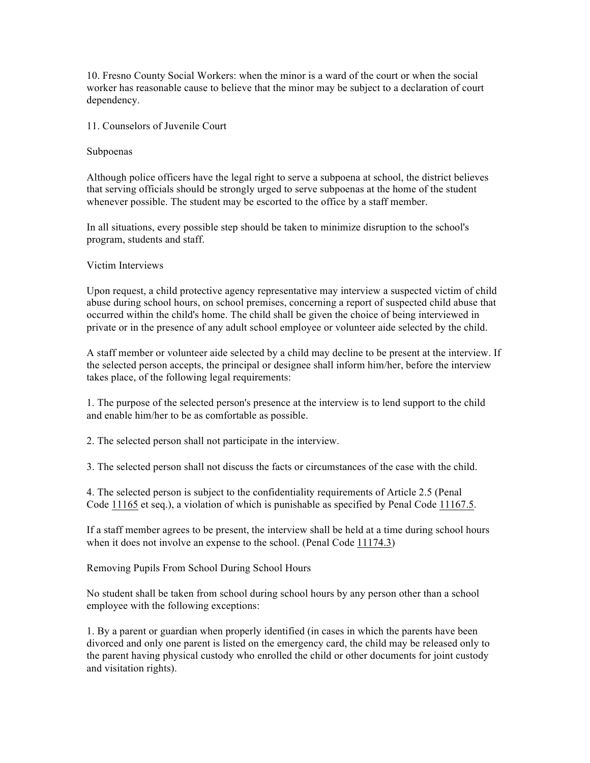10. Fresno County Social Workers: when the minor is a ward of the court or when the social worker has reasonable cause to believe that the minor may be subject to a declaration of court dependency.

11. Counselors of Juvenile Court

Subpoenas

Although police officers have the legal right to serve a subpoena at school, the district believes that serving officials should be strongly urged to serve subpoenas at the home of the student whenever possible. The student may be escorted to the office by a staff member.

In all situations, every possible step should be taken to minimize disruption to the school's program, students and staff.

Victim Interviews

Upon request, a child protective agency representative may interview a suspected victim of child abuse during school hours, on school premises, concerning a report of suspected child abuse that occurred within the child's home. The child shall be given the choice of being interviewed in private or in the presence of any adult school employee or volunteer aide selected by the child.

A staff member or volunteer aide selected by a child may decline to be present at the interview. If the selected person accepts, the principal or designee shall inform him/her, before the interview takes place, of the following legal requirements:

1. The purpose of the selected person's presence at the interview is to lend support to the child and enable him/her to be as comfortable as possible.

2. The selected person shall not participate in the interview.

3. The selected person shall not discuss the facts or circumstances of the case with the child.

4. The selected person is subject to the confidentiality requirements of Article 2.5 (Penal Code 11165 et seq.), a violation of which is punishable as specified by Penal Code 11167.5.

If a staff member agrees to be present, the interview shall be held at a time during school hours when it does not involve an expense to the school. (Penal Code 11174.3)

Removing Pupils From School During School Hours

No student shall be taken from school during school hours by any person other than a school employee with the following exceptions:

1. By a parent or guardian when properly identified (in cases in which the parents have been divorced and only one parent is listed on the emergency card, the child may be released only to the parent having physical custody who enrolled the child or other documents for joint custody and visitation rights).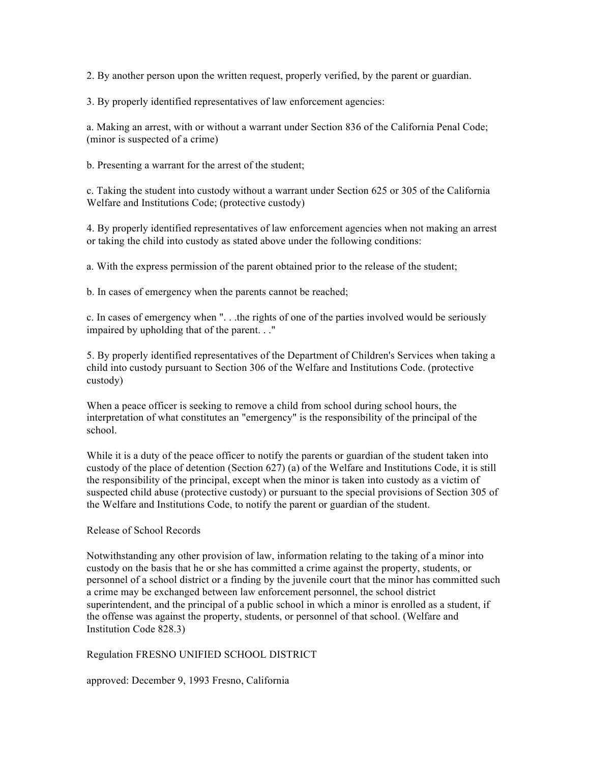2. By another person upon the written request, properly verified, by the parent or guardian.

3. By properly identified representatives of law enforcement agencies:

a. Making an arrest, with or without a warrant under Section 836 of the California Penal Code; (minor is suspected of a crime)

b. Presenting a warrant for the arrest of the student;

c. Taking the student into custody without a warrant under Section 625 or 305 of the California Welfare and Institutions Code; (protective custody)

4. By properly identified representatives of law enforcement agencies when not making an arrest or taking the child into custody as stated above under the following conditions:

a. With the express permission of the parent obtained prior to the release of the student;

b. In cases of emergency when the parents cannot be reached;

c. In cases of emergency when ". . .the rights of one of the parties involved would be seriously impaired by upholding that of the parent. . ."

5. By properly identified representatives of the Department of Children's Services when taking a child into custody pursuant to Section 306 of the Welfare and Institutions Code. (protective custody)

When a peace officer is seeking to remove a child from school during school hours, the interpretation of what constitutes an "emergency" is the responsibility of the principal of the school.

While it is a duty of the peace officer to notify the parents or guardian of the student taken into custody of the place of detention (Section 627) (a) of the Welfare and Institutions Code, it is still the responsibility of the principal, except when the minor is taken into custody as a victim of suspected child abuse (protective custody) or pursuant to the special provisions of Section 305 of the Welfare and Institutions Code, to notify the parent or guardian of the student.

### Release of School Records

Notwithstanding any other provision of law, information relating to the taking of a minor into custody on the basis that he or she has committed a crime against the property, students, or personnel of a school district or a finding by the juvenile court that the minor has committed such a crime may be exchanged between law enforcement personnel, the school district superintendent, and the principal of a public school in which a minor is enrolled as a student, if the offense was against the property, students, or personnel of that school. (Welfare and Institution Code 828.3)

# Regulation FRESNO UNIFIED SCHOOL DISTRICT

approved: December 9, 1993 Fresno, California